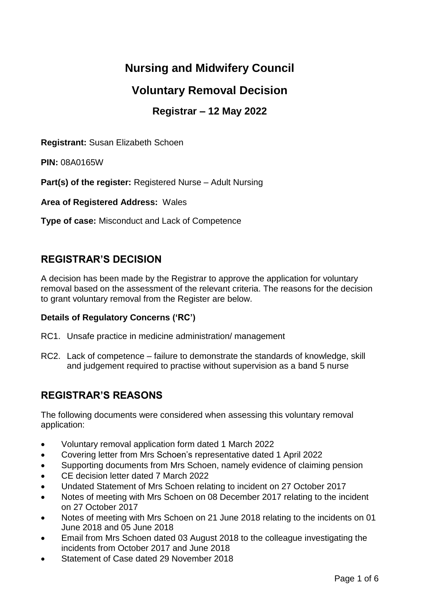# **Nursing and Midwifery Council**

# **Voluntary Removal Decision**

# **Registrar – 12 May 2022**

**Registrant:** Susan Elizabeth Schoen

**PIN:** 08A0165W

**Part(s) of the register:** Registered Nurse – Adult Nursing

**Area of Registered Address:** Wales

**Type of case:** Misconduct and Lack of Competence

## **REGISTRAR'S DECISION**

A decision has been made by the Registrar to approve the application for voluntary removal based on the assessment of the relevant criteria. The reasons for the decision to grant voluntary removal from the Register are below.

### **Details of Regulatory Concerns ('RC')**

- RC1. Unsafe practice in medicine administration/ management
- RC2. Lack of competence failure to demonstrate the standards of knowledge, skill and judgement required to practise without supervision as a band 5 nurse

## **REGISTRAR'S REASONS**

The following documents were considered when assessing this voluntary removal application:

- Voluntary removal application form dated 1 March 2022
- Covering letter from Mrs Schoen's representative dated 1 April 2022
- Supporting documents from Mrs Schoen, namely evidence of claiming pension
- CE decision letter dated 7 March 2022
- Undated Statement of Mrs Schoen relating to incident on 27 October 2017
- Notes of meeting with Mrs Schoen on 08 December 2017 relating to the incident on 27 October 2017
- Notes of meeting with Mrs Schoen on 21 June 2018 relating to the incidents on 01 June 2018 and 05 June 2018
- Email from Mrs Schoen dated 03 August 2018 to the colleague investigating the incidents from October 2017 and June 2018
- Statement of Case dated 29 November 2018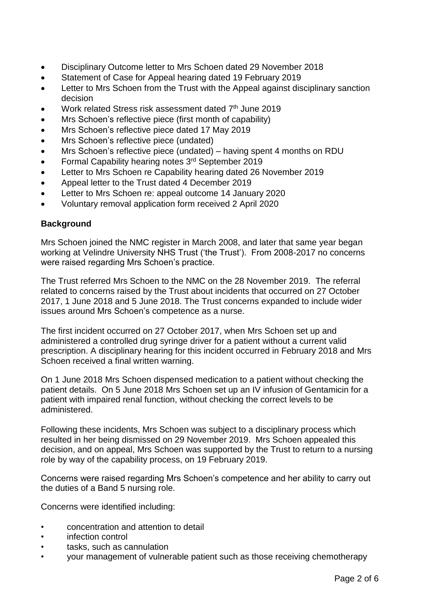- Disciplinary Outcome letter to Mrs Schoen dated 29 November 2018
- Statement of Case for Appeal hearing dated 19 February 2019
- Letter to Mrs Schoen from the Trust with the Appeal against disciplinary sanction decision
- Work related Stress risk assessment dated 7<sup>th</sup> June 2019
- Mrs Schoen's reflective piece (first month of capability)
- Mrs Schoen's reflective piece dated 17 May 2019
- Mrs Schoen's reflective piece (undated)
- Mrs Schoen's reflective piece (undated) having spent 4 months on RDU
- Formal Capability hearing notes 3rd September 2019
- Letter to Mrs Schoen re Capability hearing dated 26 November 2019
- Appeal letter to the Trust dated 4 December 2019
- Letter to Mrs Schoen re: appeal outcome 14 January 2020
- Voluntary removal application form received 2 April 2020

## **Background**

Mrs Schoen joined the NMC register in March 2008, and later that same year began working at Velindre University NHS Trust ('the Trust'). From 2008-2017 no concerns were raised regarding Mrs Schoen's practice.

The Trust referred Mrs Schoen to the NMC on the 28 November 2019. The referral related to concerns raised by the Trust about incidents that occurred on 27 October 2017, 1 June 2018 and 5 June 2018. The Trust concerns expanded to include wider issues around Mrs Schoen's competence as a nurse.

The first incident occurred on 27 October 2017, when Mrs Schoen set up and administered a controlled drug syringe driver for a patient without a current valid prescription. A disciplinary hearing for this incident occurred in February 2018 and Mrs Schoen received a final written warning.

On 1 June 2018 Mrs Schoen dispensed medication to a patient without checking the patient details. On 5 June 2018 Mrs Schoen set up an IV infusion of Gentamicin for a patient with impaired renal function, without checking the correct levels to be administered.

Following these incidents, Mrs Schoen was subject to a disciplinary process which resulted in her being dismissed on 29 November 2019. Mrs Schoen appealed this decision, and on appeal, Mrs Schoen was supported by the Trust to return to a nursing role by way of the capability process, on 19 February 2019.

Concerns were raised regarding Mrs Schoen's competence and her ability to carry out the duties of a Band 5 nursing role.

Concerns were identified including:

- concentration and attention to detail
- infection control
- tasks, such as cannulation
- your management of vulnerable patient such as those receiving chemotherapy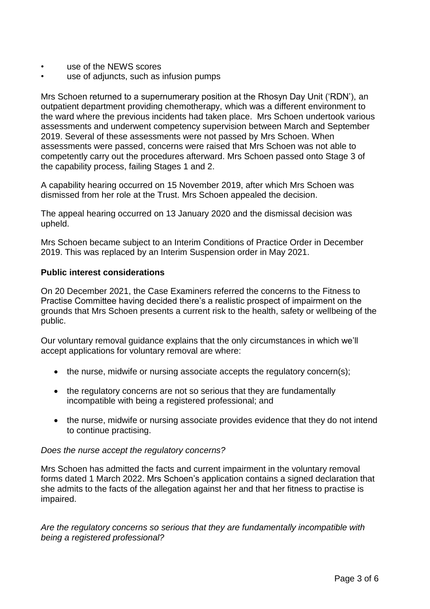- use of the NEWS scores
- use of adjuncts, such as infusion pumps

Mrs Schoen returned to a supernumerary position at the Rhosyn Day Unit ('RDN'), an outpatient department providing chemotherapy, which was a different environment to the ward where the previous incidents had taken place. Mrs Schoen undertook various assessments and underwent competency supervision between March and September 2019. Several of these assessments were not passed by Mrs Schoen. When assessments were passed, concerns were raised that Mrs Schoen was not able to competently carry out the procedures afterward. Mrs Schoen passed onto Stage 3 of the capability process, failing Stages 1 and 2.

A capability hearing occurred on 15 November 2019, after which Mrs Schoen was dismissed from her role at the Trust. Mrs Schoen appealed the decision.

The appeal hearing occurred on 13 January 2020 and the dismissal decision was upheld.

Mrs Schoen became subject to an Interim Conditions of Practice Order in December 2019. This was replaced by an Interim Suspension order in May 2021.

### **Public interest considerations**

On 20 December 2021, the Case Examiners referred the concerns to the Fitness to Practise Committee having decided there's a realistic prospect of impairment on the grounds that Mrs Schoen presents a current risk to the health, safety or wellbeing of the public.

Our voluntary removal guidance explains that the only circumstances in which we'll accept applications for voluntary removal are where:

- the nurse, midwife or nursing associate accepts the regulatory concern(s):
- the regulatory concerns are not so serious that they are fundamentally incompatible with being a registered professional; and
- the nurse, midwife or nursing associate provides evidence that they do not intend to continue practising.

#### *Does the nurse accept the regulatory concerns?*

Mrs Schoen has admitted the facts and current impairment in the voluntary removal forms dated 1 March 2022. Mrs Schoen's application contains a signed declaration that she admits to the facts of the allegation against her and that her fitness to practise is impaired.

*Are the regulatory concerns so serious that they are fundamentally incompatible with being a registered professional?*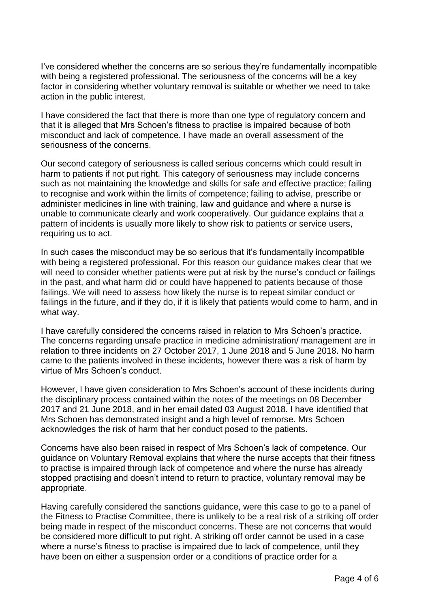I've considered whether the concerns are so serious they're fundamentally incompatible with being a registered professional. The seriousness of the concerns will be a key factor in considering whether voluntary removal is suitable or whether we need to take action in the public interest.

I have considered the fact that there is more than one type of regulatory concern and that it is alleged that Mrs Schoen's fitness to practise is impaired because of both misconduct and lack of competence. I have made an overall assessment of the seriousness of the concerns.

Our second category of seriousness is called serious concerns which could result in harm to patients if not put right. This category of seriousness may include concerns such as not maintaining the knowledge and skills for safe and effective practice; failing to recognise and work within the limits of competence; failing to advise, prescribe or administer medicines in line with training, law and guidance and where a nurse is unable to communicate clearly and work cooperatively. Our guidance explains that a pattern of incidents is usually more likely to show risk to patients or service users, requiring us to act.

In such cases the misconduct may be so serious that it's fundamentally incompatible with being a registered professional. For this reason our guidance makes clear that we will need to consider whether patients were put at risk by the nurse's conduct or failings in the past, and what harm did or could have happened to patients because of those failings. We will need to assess how likely the nurse is to repeat similar conduct or failings in the future, and if they do, if it is likely that patients would come to harm, and in what way.

I have carefully considered the concerns raised in relation to Mrs Schoen's practice. The concerns regarding unsafe practice in medicine administration/ management are in relation to three incidents on 27 October 2017, 1 June 2018 and 5 June 2018. No harm came to the patients involved in these incidents, however there was a risk of harm by virtue of Mrs Schoen's conduct.

However, I have given consideration to Mrs Schoen's account of these incidents during the disciplinary process contained within the notes of the meetings on 08 December 2017 and 21 June 2018, and in her email dated 03 August 2018. I have identified that Mrs Schoen has demonstrated insight and a high level of remorse. Mrs Schoen acknowledges the risk of harm that her conduct posed to the patients.

Concerns have also been raised in respect of Mrs Schoen's lack of competence. Our guidance on Voluntary Removal explains that where the nurse accepts that their fitness to practise is impaired through lack of competence and where the nurse has already stopped practising and doesn't intend to return to practice, voluntary removal may be appropriate.

Having carefully considered the sanctions guidance, were this case to go to a panel of the Fitness to Practise Committee, there is unlikely to be a real risk of a striking off order being made in respect of the misconduct concerns. These are not concerns that would be considered more difficult to put right. A striking off order cannot be used in a case where a nurse's fitness to practise is impaired due to lack of competence, until they have been on either a suspension order or a conditions of practice order for a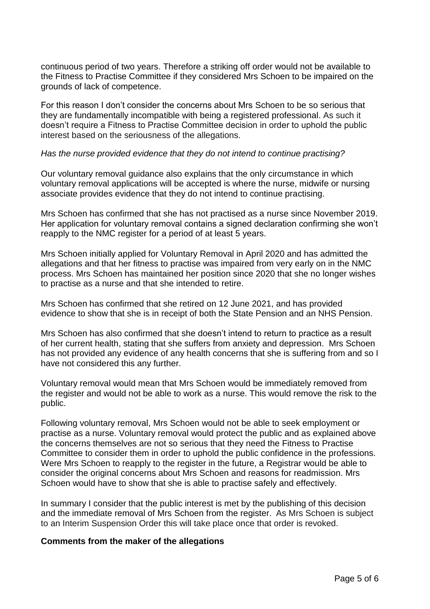continuous period of two years. Therefore a striking off order would not be available to the Fitness to Practise Committee if they considered Mrs Schoen to be impaired on the grounds of lack of competence.

For this reason I don't consider the concerns about Mrs Schoen to be so serious that they are fundamentally incompatible with being a registered professional. As such it doesn't require a Fitness to Practise Committee decision in order to uphold the public interest based on the seriousness of the allegations.

#### *Has the nurse provided evidence that they do not intend to continue practising?*

Our voluntary removal guidance also explains that the only circumstance in which voluntary removal applications will be accepted is where the nurse, midwife or nursing associate provides evidence that they do not intend to continue practising.

Mrs Schoen has confirmed that she has not practised as a nurse since November 2019. Her application for voluntary removal contains a signed declaration confirming she won't reapply to the NMC register for a period of at least 5 years.

Mrs Schoen initially applied for Voluntary Removal in April 2020 and has admitted the allegations and that her fitness to practise was impaired from very early on in the NMC process. Mrs Schoen has maintained her position since 2020 that she no longer wishes to practise as a nurse and that she intended to retire.

Mrs Schoen has confirmed that she retired on 12 June 2021, and has provided evidence to show that she is in receipt of both the State Pension and an NHS Pension.

Mrs Schoen has also confirmed that she doesn't intend to return to practice as a result of her current health, stating that she suffers from anxiety and depression. Mrs Schoen has not provided any evidence of any health concerns that she is suffering from and so I have not considered this any further.

Voluntary removal would mean that Mrs Schoen would be immediately removed from the register and would not be able to work as a nurse. This would remove the risk to the public.

Following voluntary removal, Mrs Schoen would not be able to seek employment or practise as a nurse. Voluntary removal would protect the public and as explained above the concerns themselves are not so serious that they need the Fitness to Practise Committee to consider them in order to uphold the public confidence in the professions. Were Mrs Schoen to reapply to the register in the future, a Registrar would be able to consider the original concerns about Mrs Schoen and reasons for readmission. Mrs Schoen would have to show that she is able to practise safely and effectively.

In summary I consider that the public interest is met by the publishing of this decision and the immediate removal of Mrs Schoen from the register. As Mrs Schoen is subject to an Interim Suspension Order this will take place once that order is revoked.

#### **Comments from the maker of the allegations**